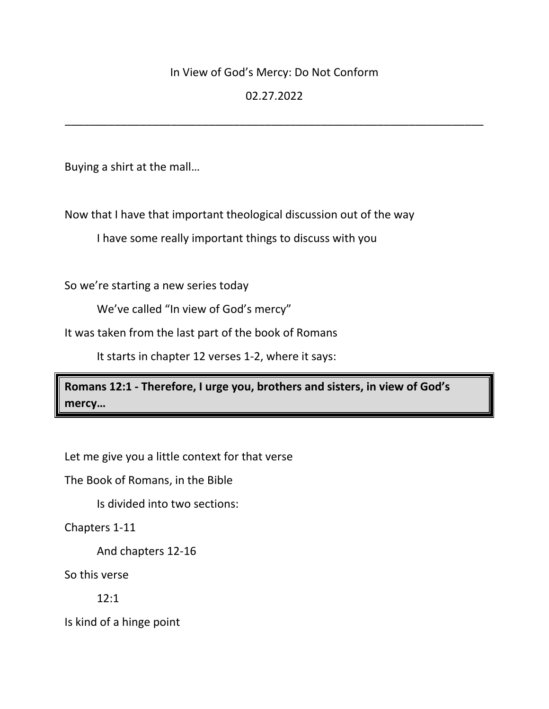## In View of God's Mercy: Do Not Conform

# 02.27.2022

\_\_\_\_\_\_\_\_\_\_\_\_\_\_\_\_\_\_\_\_\_\_\_\_\_\_\_\_\_\_\_\_\_\_\_\_\_\_\_\_\_\_\_\_\_\_\_\_\_\_\_\_\_\_\_\_\_\_\_\_\_\_\_\_\_\_\_

Buying a shirt at the mall…

Now that I have that important theological discussion out of the way

I have some really important things to discuss with you

So we're starting a new series today

We've called "In view of God's mercy"

It was taken from the last part of the book of Romans

It starts in chapter 12 verses 1-2, where it says:

**Romans 12:1 - Therefore, I urge you, brothers and sisters, in view of God's mercy…**

Let me give you a little context for that verse

The Book of Romans, in the Bible

Is divided into two sections:

Chapters 1-11

And chapters 12-16

So this verse

12:1

Is kind of a hinge point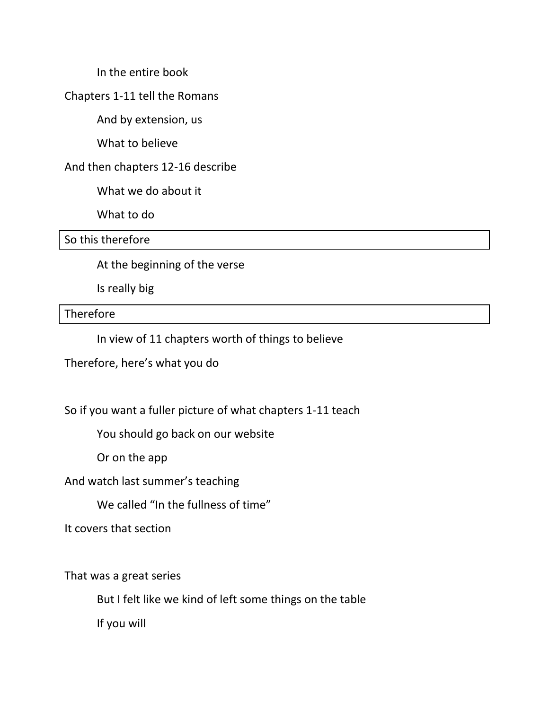In the entire book

Chapters 1-11 tell the Romans

And by extension, us

What to believe

#### And then chapters 12-16 describe

What we do about it

What to do

So this therefore

At the beginning of the verse

Is really big

**Therefore** 

In view of 11 chapters worth of things to believe

Therefore, here's what you do

So if you want a fuller picture of what chapters 1-11 teach

You should go back on our website

Or on the app

And watch last summer's teaching

We called "In the fullness of time"

It covers that section

That was a great series

But I felt like we kind of left some things on the table

If you will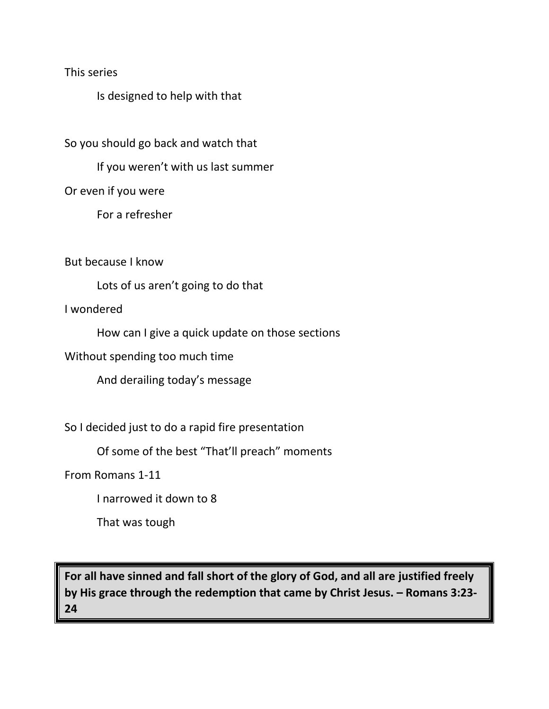This series

Is designed to help with that

So you should go back and watch that

If you weren't with us last summer

Or even if you were

For a refresher

But because I know

Lots of us aren't going to do that

I wondered

How can I give a quick update on those sections

Without spending too much time

And derailing today's message

So I decided just to do a rapid fire presentation

Of some of the best "That'll preach" moments

From Romans 1-11

I narrowed it down to 8

That was tough

**For all have sinned and fall short of the glory of God, and all are justified freely by His grace through the redemption that came by Christ Jesus. – Romans 3:23- 24**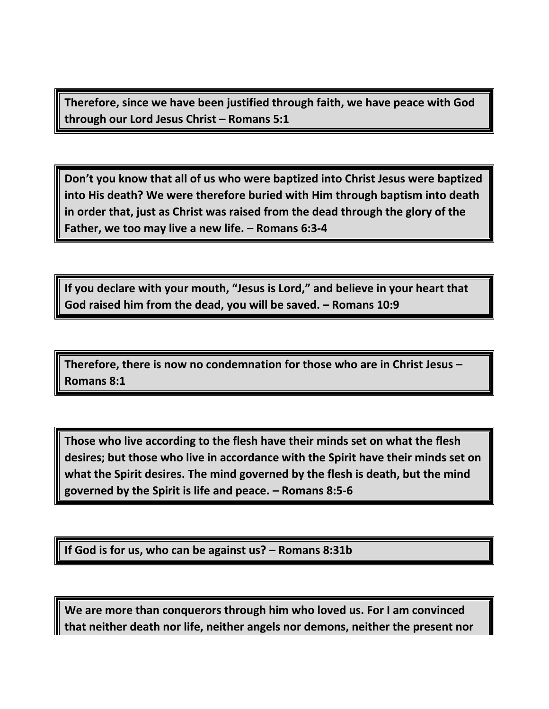**Therefore, since we have been justified through faith, we have peace with God through our Lord Jesus Christ – Romans 5:1**

**Don't you know that all of us who were baptized into Christ Jesus were baptized into His death? We were therefore buried with Him through baptism into death in order that, just as Christ was raised from the dead through the glory of the Father, we too may live a new life. – Romans 6:3-4**

**If you declare with your mouth, "Jesus is Lord," and believe in your heart that God raised him from the dead, you will be saved. – Romans 10:9**

**Therefore, there is now no condemnation for those who are in Christ Jesus – Romans 8:1**

**Those who live according to the flesh have their minds set on what the flesh desires; but those who live in accordance with the Spirit have their minds set on what the Spirit desires. The mind governed by the flesh is death, but the mind governed by the Spirit is life and peace. – Romans 8:5-6**

**If God is for us, who can be against us? – Romans 8:31b**

**We are more than conquerors through him who loved us. For I am convinced that neither death nor life, neither angels nor demons, neither the present nor**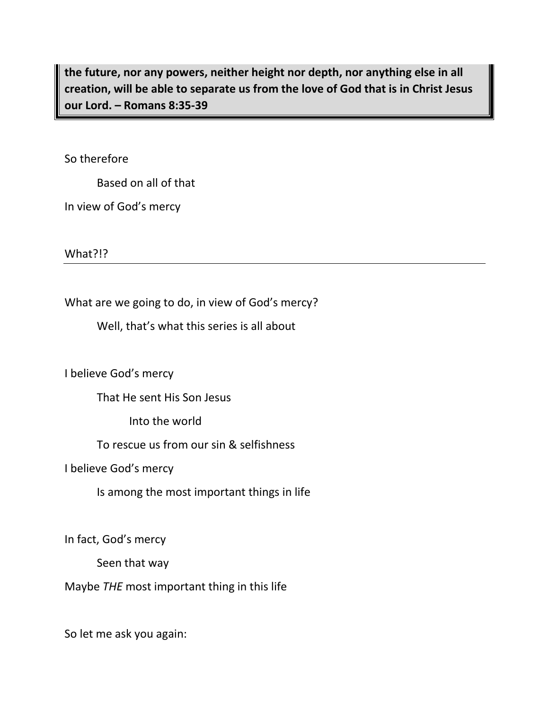**the future, nor any powers, neither height nor depth, nor anything else in all creation, will be able to separate us from the love of God that is in Christ Jesus our Lord. – Romans 8:35-39**

So therefore

Based on all of that

In view of God's mercy

What?!?

What are we going to do, in view of God's mercy?

Well, that's what this series is all about

I believe God's mercy

That He sent His Son Jesus

Into the world

To rescue us from our sin & selfishness

I believe God's mercy

Is among the most important things in life

In fact, God's mercy

Seen that way

Maybe *THE* most important thing in this life

So let me ask you again: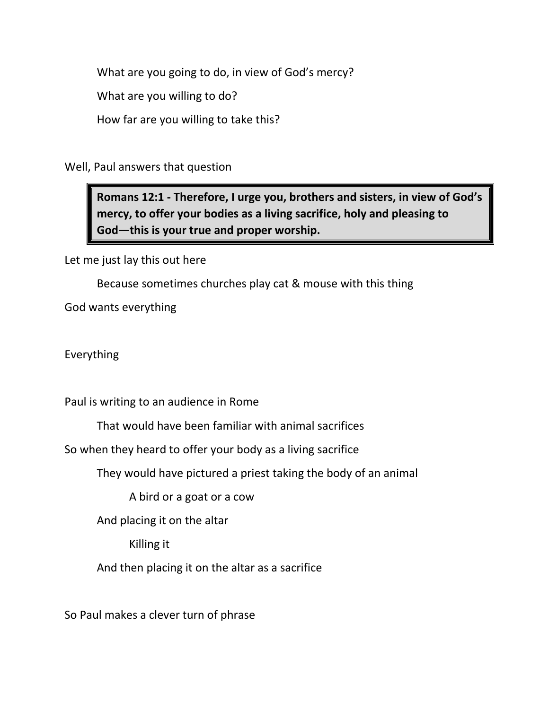What are you going to do, in view of God's mercy?

What are you willing to do?

How far are you willing to take this?

Well, Paul answers that question

**Romans 12:1 - Therefore, I urge you, brothers and sisters, in view of God's mercy, to offer your bodies as a living sacrifice, holy and pleasing to God—this is your true and proper worship.**

Let me just lay this out here

Because sometimes churches play cat & mouse with this thing

God wants everything

Everything

Paul is writing to an audience in Rome

That would have been familiar with animal sacrifices

So when they heard to offer your body as a living sacrifice

They would have pictured a priest taking the body of an animal

A bird or a goat or a cow

And placing it on the altar

Killing it

And then placing it on the altar as a sacrifice

So Paul makes a clever turn of phrase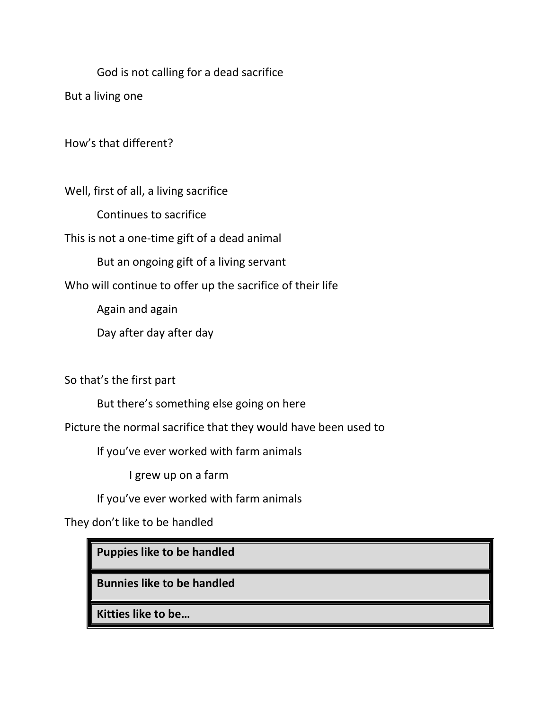God is not calling for a dead sacrifice

But a living one

How's that different?

Well, first of all, a living sacrifice

Continues to sacrifice

This is not a one-time gift of a dead animal

But an ongoing gift of a living servant

Who will continue to offer up the sacrifice of their life

Again and again

Day after day after day

So that's the first part

But there's something else going on here

Picture the normal sacrifice that they would have been used to

If you've ever worked with farm animals

I grew up on a farm

If you've ever worked with farm animals

They don't like to be handled

**Puppies like to be handled**

**Bunnies like to be handled** 

**Kitties like to be…**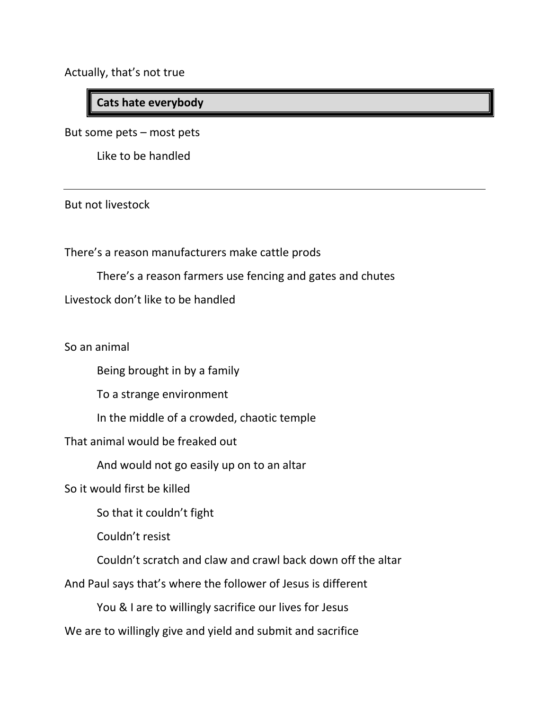Actually, that's not true

# **Cats hate everybody**

But some pets – most pets

Like to be handled

But not livestock

There's a reason manufacturers make cattle prods

There's a reason farmers use fencing and gates and chutes

Livestock don't like to be handled

So an animal

Being brought in by a family

To a strange environment

In the middle of a crowded, chaotic temple

That animal would be freaked out

And would not go easily up on to an altar

So it would first be killed

So that it couldn't fight

Couldn't resist

Couldn't scratch and claw and crawl back down off the altar

And Paul says that's where the follower of Jesus is different

You & I are to willingly sacrifice our lives for Jesus

We are to willingly give and yield and submit and sacrifice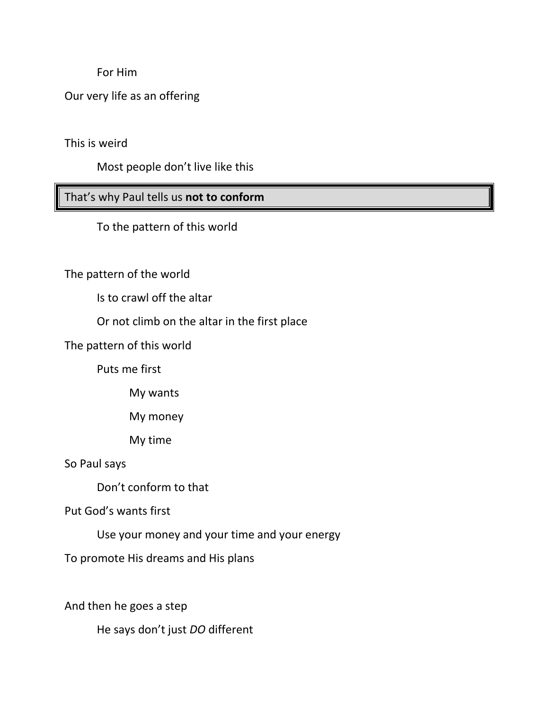For Him

Our very life as an offering

This is weird

Most people don't live like this

That's why Paul tells us **not to conform** 

To the pattern of this world

The pattern of the world

Is to crawl off the altar

Or not climb on the altar in the first place

The pattern of this world

Puts me first

My wants

My money

My time

So Paul says

Don't conform to that

Put God's wants first

Use your money and your time and your energy

To promote His dreams and His plans

And then he goes a step

He says don't just *DO* different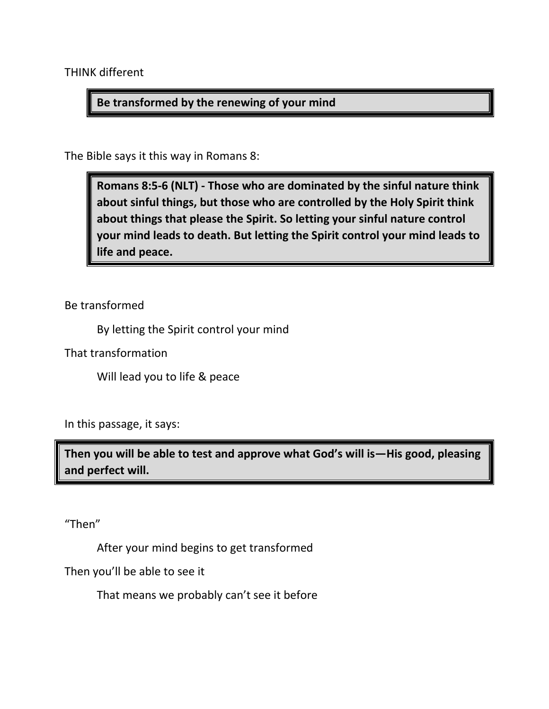THINK different

#### **Be transformed by the renewing of your mind**

The Bible says it this way in Romans 8:

**Romans 8:5-6 (NLT) - Those who are dominated by the sinful nature think about sinful things, but those who are controlled by the Holy Spirit think about things that please the Spirit. So letting your sinful nature control your mind leads to death. But letting the Spirit control your mind leads to life and peace.**

Be transformed

By letting the Spirit control your mind

That transformation

Will lead you to life & peace

In this passage, it says:

**Then you will be able to test and approve what God's will is—His good, pleasing and perfect will.**

"Then"

After your mind begins to get transformed

Then you'll be able to see it

That means we probably can't see it before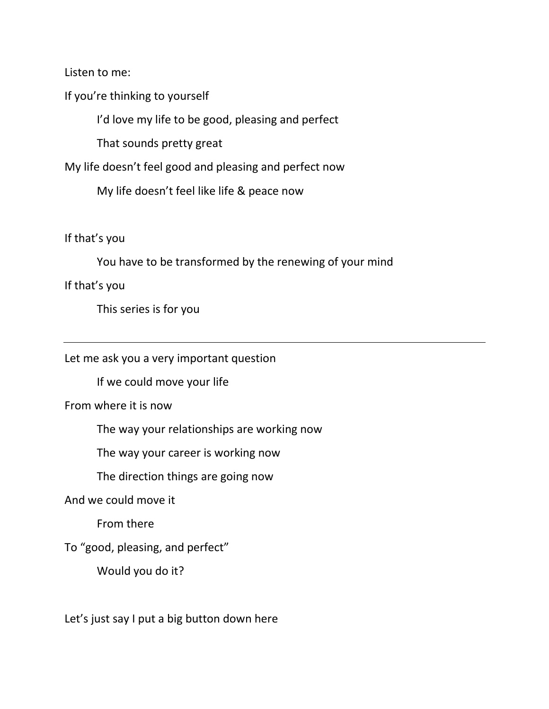Listen to me:

If you're thinking to yourself

I'd love my life to be good, pleasing and perfect

That sounds pretty great

My life doesn't feel good and pleasing and perfect now

My life doesn't feel like life & peace now

If that's you

You have to be transformed by the renewing of your mind

If that's you

This series is for you

Let me ask you a very important question

If we could move your life

From where it is now

The way your relationships are working now

The way your career is working now

The direction things are going now

And we could move it

From there

To "good, pleasing, and perfect"

Would you do it?

Let's just say I put a big button down here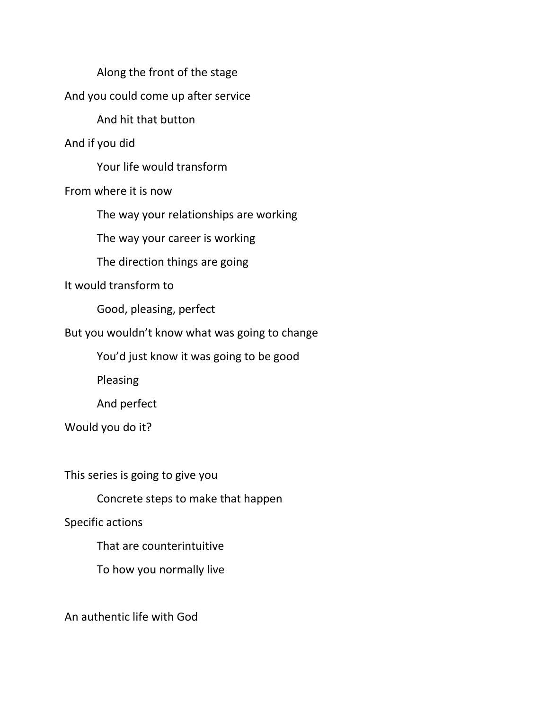Along the front of the stage And you could come up after service And hit that button And if you did Your life would transform From where it is now The way your relationships are working The way your career is working The direction things are going It would transform to Good, pleasing, perfect But you wouldn't know what was going to change You'd just know it was going to be good Pleasing And perfect Would you do it? This series is going to give you Concrete steps to make that happen

Specific actions

That are counterintuitive

To how you normally live

An authentic life with God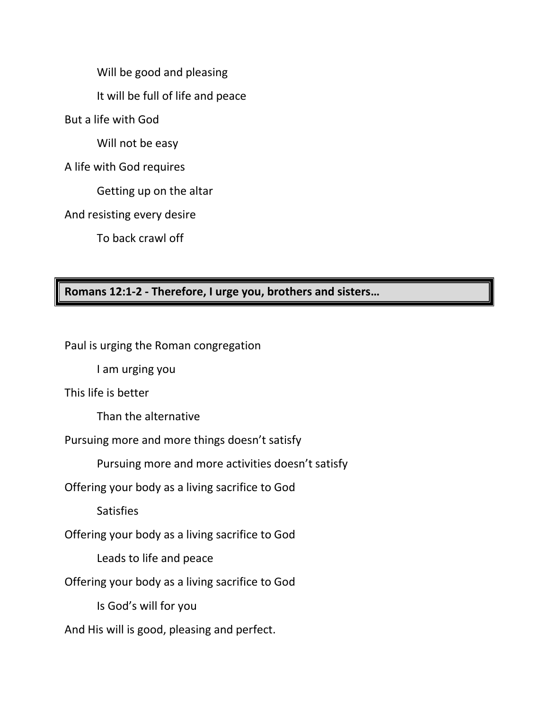Will be good and pleasing

It will be full of life and peace

But a life with God

Will not be easy

A life with God requires

Getting up on the altar

And resisting every desire

To back crawl off

## **Romans 12:1-2 - Therefore, I urge you, brothers and sisters…**

Paul is urging the Roman congregation

I am urging you

This life is better

Than the alternative

Pursuing more and more things doesn't satisfy

Pursuing more and more activities doesn't satisfy

Offering your body as a living sacrifice to God

**Satisfies** 

Offering your body as a living sacrifice to God

Leads to life and peace

Offering your body as a living sacrifice to God

Is God's will for you

And His will is good, pleasing and perfect.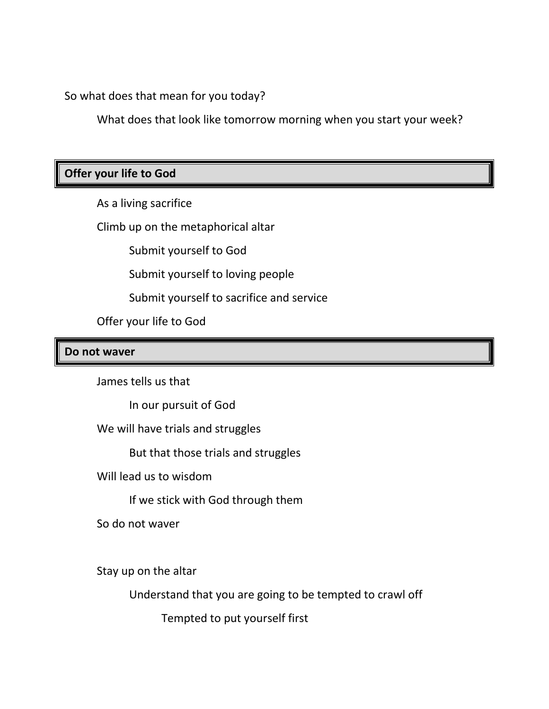So what does that mean for you today?

What does that look like tomorrow morning when you start your week?

## **Offer your life to God**

As a living sacrifice

Climb up on the metaphorical altar

Submit yourself to God

Submit yourself to loving people

Submit yourself to sacrifice and service

Offer your life to God

#### **Do not waver**

James tells us that

In our pursuit of God

We will have trials and struggles

But that those trials and struggles

Will lead us to wisdom

If we stick with God through them

So do not waver

Stay up on the altar

Understand that you are going to be tempted to crawl off

Tempted to put yourself first